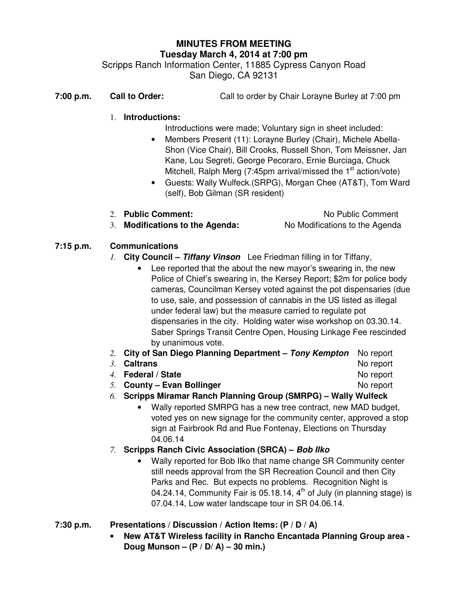# **MINUTES FROM MEETING Tuesday March 4, 2014 at 7:00 pm**

Scripps Ranch Information Center, 11885 Cypress Canyon Road San Diego, CA 92131

**7:00 p.m. Call to Order:** Call to order by Chair Lorayne Burley at 7:00 pm

#### 1. **Introductions:**

- Introductions were made; Voluntary sign in sheet included:
- Members Present (11): Lorayne Burley (Chair), Michele Abella-Shon (Vice Chair), Bill Crooks, Russell Shon, Tom Meissner, Jan Kane, Lou Segreti, George Pecoraro, Ernie Burciaga, Chuck Mitchell, Ralph Merg  $(7:45$ pm arrival/missed the 1<sup>st</sup> action/vote)
- Guests: Wally Wulfeck.(SRPG), Morgan Chee (AT&T), Tom Ward (self), Bob Gilman (SR resident)
- 2. **Public Comment:** No Public Comment 3. **Modifications to the Agenda:** No Modifications to the Agenda

#### **7:15 p.m. Communications**

- *1.* **City Council Tiffany Vinson** Lee Friedman filling in for Tiffany,
	- Lee reported that the about the new mayor's swearing in, the new Police of Chief's swearing in, the Kersey Report; \$2m for police body cameras, Councilman Kersey voted against the pot dispensaries (due to use, sale, and possession of cannabis in the US listed as illegal under federal law) but the measure carried to regulate pot dispensaries in the city. Holding water wise workshop on 03.30.14. Saber Springs Transit Centre Open, Housing Linkage Fee rescinded by unanimous vote.
- *2.* **City of San Diego Planning Department Tony Kempton** No report
- *3.* **Caltrans** No report
- *4.* **Federal / State No report**
- -
- *5.* **County Evan Bollinger** No report
- *6.* **Scripps Miramar Ranch Planning Group (SMRPG) Wally Wulfeck** 
	- Wally reported SMRPG has a new tree contract, new MAD budget, voted yes on new signage for the community center, approved a stop sign at Fairbrook Rd and Rue Fontenay, Elections on Thursday 04.06.14
- *7.* **Scripps Ranch Civic Association (SRCA) Bob Ilko**
	- Wally reported for Bob Ilko that name change SR Community center still needs approval from the SR Recreation Council and then City Parks and Rec. But expects no problems. Recognition Night is 04.24.14, Community Fair is 05.18.14,  $4<sup>th</sup>$  of July (in planning stage) is 07.04.14, Low water landscape tour in SR 04.06.14.
- **7:30 p.m. Presentations / Discussion / Action Items: (P / D / A)** 
	- **New AT&T Wireless facility in Rancho Encantada Planning Group area Doug Munson – (P / D/ A) – 30 min.)**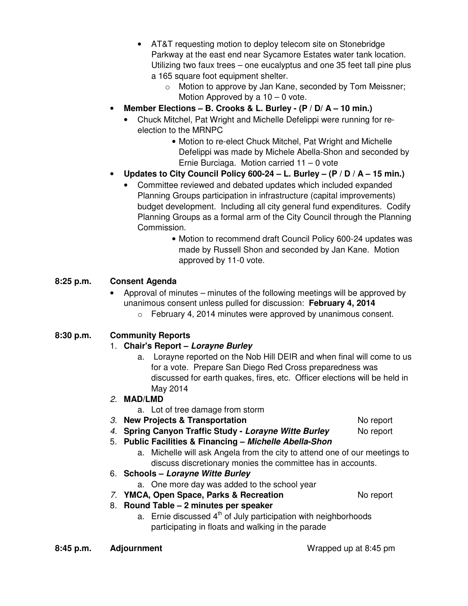- AT&T requesting motion to deploy telecom site on Stonebridge Parkway at the east end near Sycamore Estates water tank location. Utilizing two faux trees – one eucalyptus and one 35 feet tall pine plus a 165 square foot equipment shelter.
	- o Motion to approve by Jan Kane, seconded by Tom Meissner; Motion Approved by a  $10 - 0$  vote.
- **Member Elections B. Crooks & L. Burley (P / D/ A 10 min.)**
	- Chuck Mitchel, Pat Wright and Michelle Defelippi were running for reelection to the MRNPC
		- Motion to re-elect Chuck Mitchel, Pat Wright and Michelle Defelippi was made by Michele Abella-Shon and seconded by Ernie Burciaga. Motion carried 11 – 0 vote
- **Updates to City Council Policy 600-24 L. Burley (P / D / A 15 min.)** 
	- Committee reviewed and debated updates which included expanded Planning Groups participation in infrastructure (capital improvements) budget development. Including all city general fund expenditures. Codify Planning Groups as a formal arm of the City Council through the Planning Commission.
		- Motion to recommend draft Council Policy 600-24 updates was made by Russell Shon and seconded by Jan Kane. Motion approved by 11-0 vote.

## **8:25 p.m. Consent Agenda**

• Approval of minutes – minutes of the following meetings will be approved by unanimous consent unless pulled for discussion: **February 4, 2014** o February 4, 2014 minutes were approved by unanimous consent.

## **8:30 p.m. Community Reports**

## 1. **Chair's Report – Lorayne Burley**

a. Lorayne reported on the Nob Hill DEIR and when final will come to us for a vote. Prepare San Diego Red Cross preparedness was discussed for earth quakes, fires, etc. Officer elections will be held in May 2014

#### 2. **MAD/LMD**

- a. Lot of tree damage from storm
- 3. **New Projects & Transportation No report No report**
- 4. **Spring Canyon Traffic Study Lorayne Witte Burley** No report
- 5. **Public Facilities & Financing Michelle Abella-Shon** 
	- a. Michelle will ask Angela from the city to attend one of our meetings to discuss discretionary monies the committee has in accounts.
- 6. **Schools Lorayne Witte Burley** 
	- a. One more day was added to the school year
- 7. **YMCA, Open Space, Parks & Recreation** No report
- 8. **Round Table 2 minutes per speaker**
	- a. Ernie discussed  $4<sup>th</sup>$  of July participation with neighborhoods participating in floats and walking in the parade

- 
- 
- 
- 
- 
- 
-